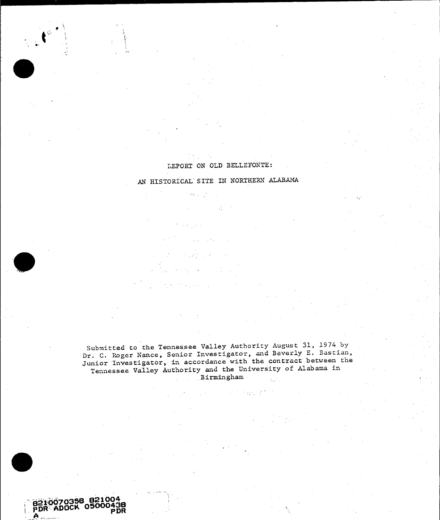# 13EPORT **ON** OLD **BELLEFONTE:,**

**AN** HISTORICAL SITE IN NORTHERN **ALABAMA**

 $\mathcal{O}(\log q)$ 

**9** 

**--j62O7O358 821004 PDR ,-ADOCK 05000438 A** \_ **PDR**

t

Submitted to the Tennessee Valley Authority August **31,** 1974 **by**  Dr. **C.** Roger Nance, Senior Investigator, and Beverly **E.** Bastian, Junior Investigator, in accordance with the contract between the Tennessee Valley Authority and the University of Alabama in Birmingham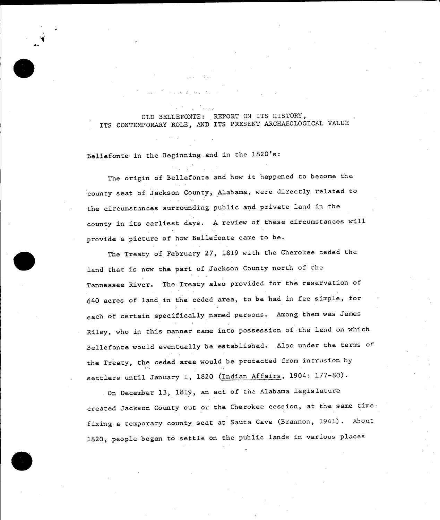## OLD **BELLEFONTE:** REPORT **ON** ITS HISTORY, ITS CONTEMPORARY ROLE, **AND** ITS **PRESENT** ARCHAEOLOGICAL **VALUE**

Bellefonte in the Beginning and in the 1820's:

The origin of Bellefonte and how it happened to become the county seat of Jackson County, Alabama, were directly related to the circumstances surrounding public and private land in the county in its earliest days. **A** review of these circumstances will provide a picture of how Bellefonte came to be.

The Treaty of February **27, 1819** with the Cherokee ceded the land that is now the part of Jackson County north of the Tennessee River. The Treaty also provided for the reservation of 640 acres of land in the ceded area, to be had in fee simple, for each of certain specifically named persons. Among them was James Riley, who in this manner came into possession of the land on which Bellefonte would eventually be established. Also under the terms of the Treaty, the ceded area would be protected from intrusion **by**  settlers until January **1, 1820** (Indian Affairs, 1904: **177-80).** 

On December 13, 1819, an act of the Alabama legislature created Jackson County out oi the Cherokee cession, at the same time fixing a temporary county seat at Sauta Cave (Brannon, 1941). About **1820,** people began to settle on the public lands in various places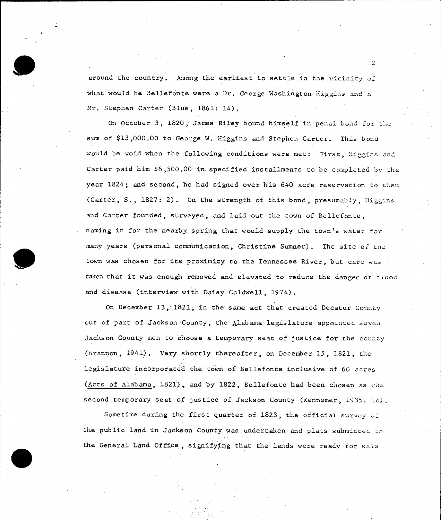around the country. Among the earliest to settle in the vicinity of what would be Bellefonte were a Dr. George Washington Higgins and a Mr. Stephen Carter (Blue, 1861: 14).

On October **3, 1820,** James Riley bound himself in penal bond *for* the sum of **\$13,000.00** to George W. Higgins and Stephen Carter. This bond would be void when the following conditions were met: First, **Higgins** and Carter paid him \$6,500.00 in specified installments to be completed by the year 1824; and second, he had signed over his 640 acre reservation to them. (Carter, **S., 1827:** 2). On the strength of this bond, presumably, Higgins and Carter founded, surveyed, and laid out the town of Bellefonte, naming it for the nearby spring that would supply the town's water for many years (personal communication, Christine Sumner). The site of the town was chosen for its proximity to the Tennessee River, but care was taken that it was enough removed and elevated to reduce the danger of flood and disease (interview with Daisy Caldwell, 1974).

On December **13, 1821,** in the same act that created Decatur County out of part of Jackson County, the Alabama legislature appointed seven Jackson County men to choose a temporary seat of justice for the county (Brannon, 1941). Very shortly thereafter, on December **15, 1821,** the legislature incorporated the town of Bellefonte inclusive of **60** acres (Acts of Alabama, **1821),** and **by 1822,** Bellefonte had been chosen as *cim*  second temporary seat of justice of Jackson County (Kennemer, **1935;** 10).

Sometime during the first quarter of **1823,** the official survey of the public land in Jackson County was undertaken and plats submitted to the General Land Office, signifying that the lands were ready for sale

 $\mathcal{P}$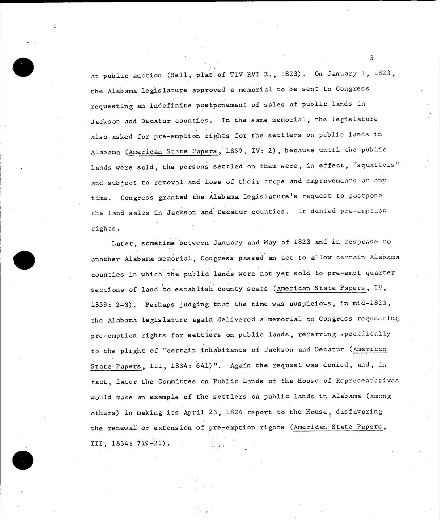at public auction (Bell, plat of TIV RVI **E., 1823).** On January **1, 1823,**  the Alabama legislature approved a memorial to be sent to Congress requesting an indefinite postponement of sales of public lands in Jackson and Decatur counties. In the same memorial, the legislature also asked for pre-emption rights for the settlers on public lands in Alabama (American State Papers, **1859,** IV: 2), because until the public lands were sold, the persons settled on them were, in effect, "squatters" and subject to removal and loss of their crops and improvements at any time. Congress granted the Alabama legislature's request to postpone the land sales in Jackson and Decatur counties. It denied pre-emption rights.

Later, sometime between January and May of **1823** and in response to another Alabama memorial, Congress passed an act to allow certain Alabama counties in which the public lands were not yet sold to pre-empt quarter sections of land to establish county seats (American State Papers, IV, **1859: 2-3).** Perhaps judging that the time was auspicious, in mid-1823, the Alabama legislature again delivered a memorial to Congress requesting. pre-emption rights for settlers on public lands, referring specifically to the plight of "certain inhabitants of Jackson and Decatur (American State Papers, III, 1834: 641)". Again the request was denied, and, in fact, later the Committee on Public Lands of the House of Representatives would make an example of the settlers on public lands in Alabama (among others) in making its April **23,** 1824 report to the House, disfavoring the renewal or extension of pre-emption rights (American State Papers, III, 1834: **719-21).**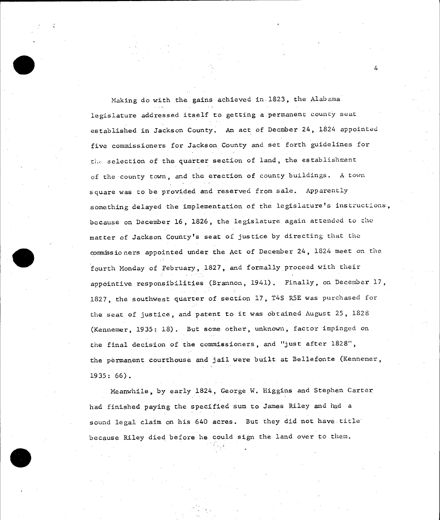Making do with the gains achieved in **1823,** the Alabama legislature addressed itself to getting a.permanent county seat established in Jackson County. An act of Decmber 24, 1824 appointed five commissioners for Jackson County and set forth guidelines for the selection of the quarter section of land, the establishment of the county town, and the erection of county buildings. **A** town square was to be provided and reserved from sale. Apparently something delayed the implementation of the legislature's instructions, because on December **16, 1826,** the legislature again attended to cho matter of Jackson County's seat of justice **by** directing that the comissioners appointed under the Act of December 24, 1824 meet on the fourth Monday of February, **1827,** and formally proceed with their appointive responsibilities (Brannon, 1941). Finally, on Decerber **17, 1827,** the southwest quarter of section **17,** T4S R5E was purchased for the seat of justice, and patent to it was obtained August **25, 1828**  (Kennemer, **1935: 18).** But some other, unknown, factor impinged on the final decision of the commissioners, and "just after **1828",**  the permanent courthouse and jail were built at Bellefonte (Kennemer, **1935: 66).** 

Meanwhile, **by** early 1824, George W. Higgins and Stephen Carter had finished paying the specified sum to James Riley and had <sup>a</sup> sound legal claim on his 640 acres. But they did not have title because Riley died before he could sign the land over to them.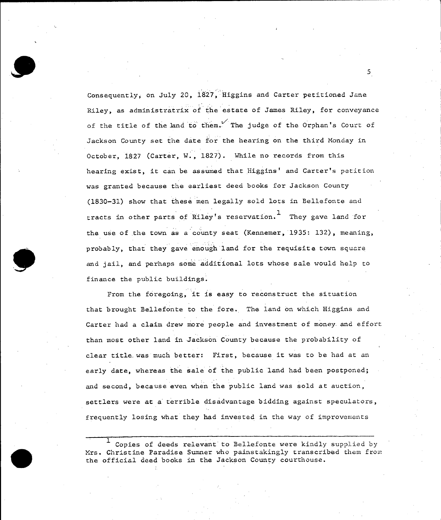Consequently, on July 20, 1827, Higgins and Carter petitioned Jane Riley, as administratrix of the estate of James Riley, for conveyance of the title of the land to them. The judge of the Orphan's Court of Jackson County set the date for the hearing on the third Monday in October, **1827** (Carter, W., **1827).** While no records from this hearing exist, it can be assumed that Higgins' and Carter's petition was granted because the earliest deed books for Jackson County **(1830-31)** show that these men legally sold lots in Bellefonte and tracts in other parts of Riley's reservation. They gave land for the use of the town as a county seat (Kennemer, 1935: 132), meaning, probably, that they gave enough land for the requisite town square and jail, and perhaps some additional lots whose sale would help to finance the public buildings.

From the foregoing, it is easy to reconstruct the situation that brought Bellefonte to the fore. The land on which Higgins and Carter had a claim drew more people and investment of money.and effort than most other land in Jackson County because the probability of clear title.was much better: First, because it was to be had at an early date, whereas the sale of the public land had been postponed; and second, because even when the public land was sold at auction, settlers were at a terrible disadvantage bidding against speculators, frequently losing what they had invested in the way of improvements

**<sup>1</sup>**Copies of deeds relevant' to Bellefonte were kindly supplied by Mrs. Christine Paradise Sumner who painstakingly transcribed them from the official deed books in the Jackson County courthouse.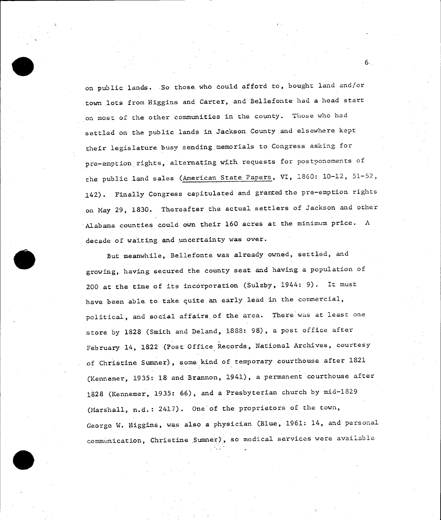on public lands. >So those who could afford to, bought land and/or town lots from Higgins and Carter, and Bellefonte had a head start on most of the other communities in the county. Those who had settled on the public lands in Jackson County and elsewhere kept their legislature busy sending memorials to Congress asking for pre-emption rights, alternating with. requests for postponements of the public land sales (American State Papers, VI, **1860:** 10-12, **51-52,**  142). Finally Congress capitulated and granted the pre-emption rights on May **29, 1830.** Thereafter the actual settlers of Jackson and other Alabama counties could own their **160** acres at the minimum price. **<sup>A</sup>** decade of waiting and uncertainty was over.

But meanwhile, Bellefonte was already owned, settled, and growing, having secured the county seat and having a population of 200 at the time of its incorporation (Sulzby, 1944: **9).** It must have been able to take quite.an early lead.in the commercial, political, and social affairs of the area. There was at least one store **by 1828** (Smith and Deland, **1888: 98),** a post office after February 14, **1822** (Post Office Records, National Archives, courtesy of Christine Sumner), some kind of temporary courthouse after **<sup>1821</sup>** (Kennemer, **1935: 18** and Brannon, 1941), a permanent courthouse after **1828** (Kennemer, **1935: 66),** and a Presbyterian church **by** mid-1829 (Marshall, n.d.: 2417). One of the proprietors of the town, George W. Higgins, was also a physician (Blue, **1961:** 14, and personal communication, Christine Sumner), so medical services were available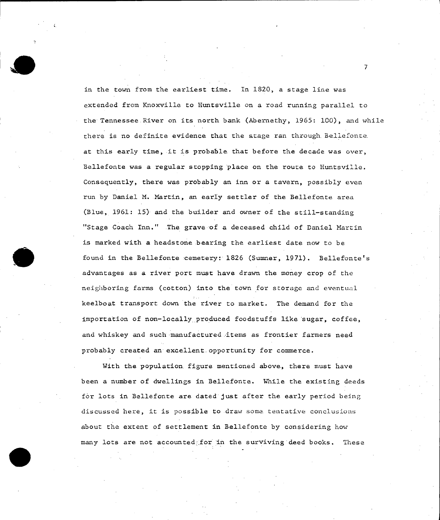in the town from the earliest time. In **1820,** a stage line was extended from Knoxville to Huntsville on a road running parallel to the Tennessee River on its north bank (Abernethy, 1965: 100), and while there is no definite evidence that the stage ran through. Bellefonte. at this early time, it is probable that before the decade was over, Bellefonte was a regular stopping place on the route to Huntsville. Consequently, there was probably an inn or a tavern, possibly even run **by** Daniel M. Martin, an early settler of the Bellefonte area (Blue, **1961:** *15)* and the builder and owner of the still-standing "Stage Coach Inn." The grave of a deceased child of Daniel Martin is marked with a headstone bearing the earliest date now to be found in the Bellefonte :cemetery: **1826** (Sumner, **1971).** Bellefonte's advantages as a river port must have drawn the money crop of the neighboring farms (cotton) into the town for storage and eventual keelboat transport down the river to market. The demand for the importation of non-locally produced foodstuffs like sugar, coffee, and whiskey and such manufactured items as frontier farmers need probably created an excellent opportunity for commerce.

With the population figure mentioned above, there must have been a number of dwellings in Bellefonte. While the existing deeds for lots in Bellefonte are dated just after the early period being discussed here, it is possible to draw some tentative conclusions about the extent of settlement in Bellefonte **by** considering how many lots are not accounted.for in the surviving deed books. These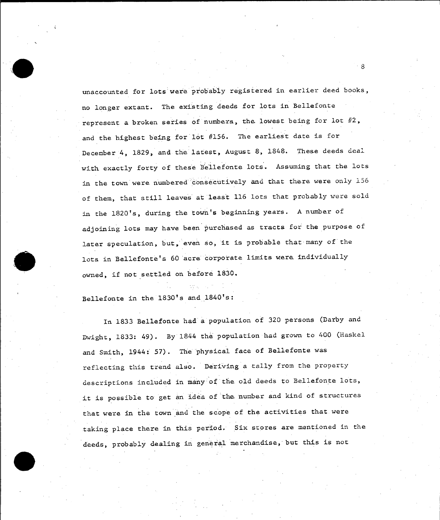unaccounted for lots were probably registered in earlier deed books, no longer extant. The existing deeds for lots in Bellefonte represent a broken series of numbers, the lowest being for lot  $#2$ , and the highest being for lot **#156.** The earliest date is for December 4, **1829,** and the latest, August **8, 1848.** These deeds deal with exactly forty of these Bellefonte lots. Assuming that the lots in the town were numbered consecutively and that there were only **156**  of them, that still leaves at least **116** lots that probably were sold in the 1820's, during the town's beginning years. **A** number of adjoining lots may have been purchased as tracts for the purpose of later speculation, but, even so, it is probable that many of the lots in Bellefonte's **60** acre corporate limits were individually owned, if not settled on before **1830.** 

Bellefonte in the 1830's and 1840's:

In **1833** Bellefonte had a population **of 320** persons (Darby and Dwight, **1833:** 49). **By** 1844 the population had grown to 400 (Haskel and Smith, 1944: **57).** The physical face of Bellefonte was reflecting this trend also. Deriving a tally from the property descriptions included in many of the old deeds to Bellefonte lots, it is possible to get an idea of the number and kind of structures that were in the town and the scope of the activities that were taking place there in this period. Six stores are mentioned in the deeds, probably dealing in general merchandise, but this is not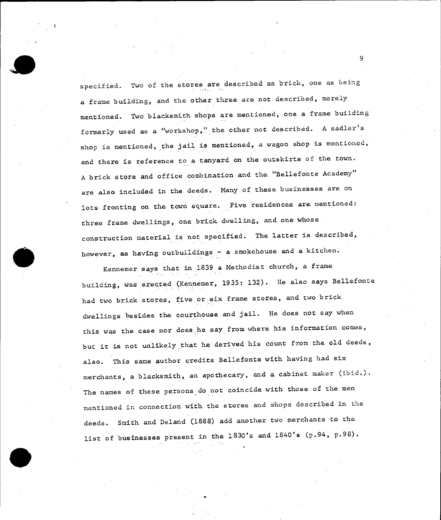specified. Two of the stores are described as brick, one as being a frame building, and the other three are not described, merely mentioned. Two blacksmith shops are mentioned, one a frame building formerly used as a "workshop,' the other not described. **<sup>A</sup>**sadler's shop is mentioned, the jail is mentioned, a wagon shop is mentioned, and there is reference to a tanyard on the outskirts of the town. **<sup>A</sup>**brick store and office combination and the "Bellefonte Academy" are also included in the deeds. Many of these businesses are on lots fronting on the town square. Five residences are mentioned: three frame dwellings, one brick dwelling, and one whose construction material is not specified. The latter is described, however, as having outbuildings - a smokehouse and a kitchen.

Kennemer says that in *1839* a Methodist church, a frame building, was erected (Kennemer, **1935: 132).** He also says Bellefonte had two brick stores, five or six frame stores, and two brick dwellings besides the courthouse and jail. He does not say when this was the case nor does he say from where his information comes, but it is not unlikely that he derived his count from the old deeds, also. This same author credits Bellefonte with having had six merchants, a blacksmith, an apothecary, and a cabinet maker (ibid.). The names of these persons do not coincide with those of the men mentioned in connection with the stores and shops described in the deeds. Smith and Deland **(1888)** add another two merchants to the list of businesses present in the 1830's and 1840's (p.94, p.98).

A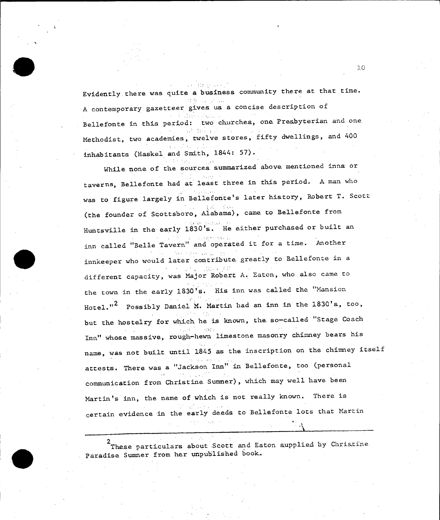Evidently there was quite a business community there at that time.

Service Control Control

**<sup>A</sup>**contemporary gazetteer gives us a concise description of Bellefonte in this period: two churches, one Presbyterian and one Methodist, two academies, twelve stores, fifty dwellings, and 400 inhabitants (Haskel and Smith, 1844: **57).** 

While none of the sources summarized above mentioned inns or taverns, Bellefonte had at least three in this period. **<sup>A</sup>**man who was to figure largely in Bellefonte's later history, Robert T. Scott (the founder of Scottsboro, Alabama), came to Bellefonte from Huntsville in the early 1830's. He either purchased or built an inn called "Belle Tavern" and operated it for a time. Another innkeeper who would later contribute greatly to Bellefonte in a different capacity, was Major Robert **A.** Eaton, who also came to the town in the early **1830's.** His inn was called the "Mansion Hotel."2 Possibly Daniel M. Martin had an inn in the 1830's, too, but the hostelry for which he is known, the so-called "Stage Coach Inn" whose massive, rough-hewn limestone masonry chimney bears his name, was not built until 1845 as the inscription on the chimney itself attests. There was a "Jackson Inn" in Bellefonte, too (personal **Contract** communication from Christine Sumner), which may well have been Martin's inn, the name of which is not really known. There is certain evidence in the early deeds to Bellefonte lots that Martin

2 These particulars about Scott and Eaton supplied **by** Christine Paradise Sumner from her unpublished book.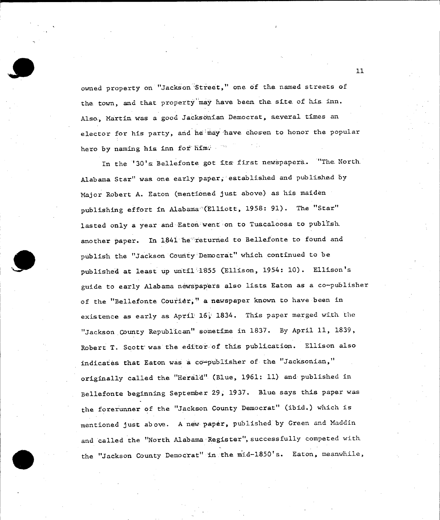owned property on "Jackson Street," one **of** the named streets of the town, and that property may have been the site of his inn. Also., Martin was a good Jacksonian Democrat, several times an elector for his party, and he may have chosen to honor the popular hero by naming his inn for him.

In the **'30's** Bellefonte got its first newspapers. "The. North. Alabama Star" was one early paper, established and published by Major Robert **A.** Eaton (mentioned just above) as his maiden publishing effort in Alabama-(Elliott, **1958: 91).** The "Star" lasted only a year and Eaton went on to Tuscaloosa to publish. another paper. In 1841 he returned to Bellefonte to found and publish the "Jackson County Democrat" which continued to be published at least up until 1855 (Ellison, 1954: **10).** Ellison's guide to early Alabama newspapers also lists Eaton as a co-publisher of the "Bellefonte Courier," a newspaper known to have been in existence as early as April **16,** 1834. This paper merged with.the "Jackson County Republican" sometime in **1837. By** April **11, 1839,**  Robert T. Scott was the editor of this publication. Ellison also indicates that Eaton was a co-publisher of the "Jacksonian," originally called the "Herald" (Blue, **1961: 11)** and published in Bellefonte beginning September **29, 1937.** Blue says this paper was the forerunner of the "Jackson County Democrat" (ibid.) which is mentioned just above. **A** new paper, published by Green and Maddin and called the "North Alabama Register", successfully competed with the "Jackson County Democrat" in the mid-1850's. Eaton, meanwhile,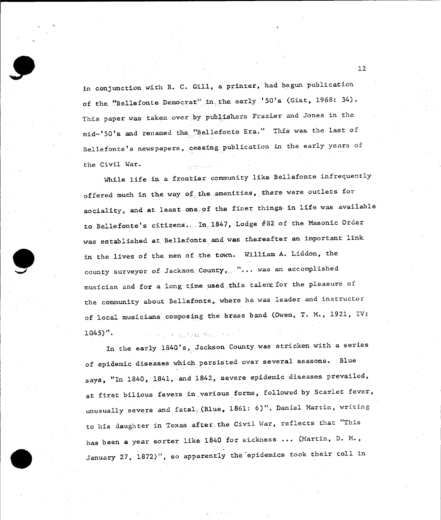in conjunction with R. **C.** Gill, a printer, had begun publication of the "Bellefonte Democrat" in the early **'50's** (Gist, **1968:** 34). This paper was taken over by publishers Frazier and Jones in the mid-'50's and renamed the "Bellefonte Era." This was the last of Bellefonte's newspapers, ceasing publication in the early years of the Civil War.  $\mathcal{L}_{\mathcal{A}}$  is the set of the set of  $\mathcal{A}$ 

While life in a frontier community like Bellefonte infrequently offered much. in the way of. the .amenities, there were outlets for sociality, and at least-one of the finer things-in life was available to Bellefonte's citizens., In. 1847, Lodge **#82** of the Masonic Order was established at.Bellefonte and was thereafter an important link. in the lives of the men of the town. William **A.** Liddon, the county surveyor of Jackson,.County,,, "... was an accomplished musician and for a long time used this talent for the pleasure of the community about Bellefonte, where he was leader and instructor of local musicians composing the brass band (Owen, T. M., **1921,** IV: 1045)". and and there are

In the early 1840's, Jackson County was stricken with a series of epidemic diseases which persisted over several seasons. Blue says, "In 1840, 1841, and 1842, severe epidemic diseases prevailed, at first bilious fevers in various forms, followed **by** Scarlet fever, unusually severe and fatal;,(Blue, **1861: 6)".** Daniel Martin, writing to his daughter in Texas after the Civil War, reflects that "This has been a year sorter like 1840 for sickness **...** (Martin, **D.** M., January **27, 1872)",** so apparently the-epidemics took their toll in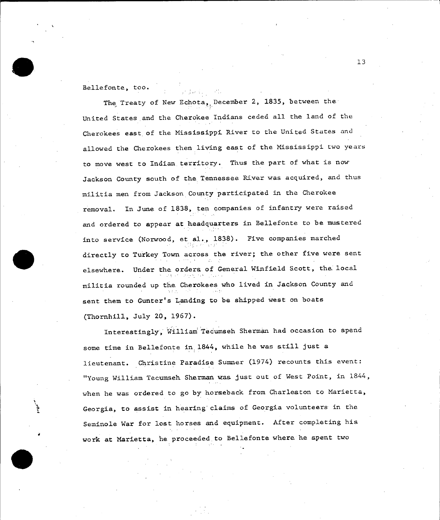Bellefonte, too.

The Treaty of New Echota, December 2, **1835,** between the United States and the Cherokee Indians ceded all the land of the Cherokees east of the Mississippi River to the United States and allowed the Cherokees then living eas.t of the Mississippi two years to move west to Indian territory. Thus the part of what is now Jackson County south of the Tennessee River was acquired, and thus militia men from Jackson County participated in the Cherokee removal. In June of **1838,** ten companies of infantry were raised and ordered to appear at headquarters in Bellefonte to be mustered into service (Norwood, et al., **1838).** Five companies marched directly to Turkey Town across the river; the other five were sent elsewhere. Under the orders of General Winfield Scott, the local militia rounded up the Cherokees who lived in Jackson County and sent them to Gunter's Landing to be shipped west on boats (Thornhill, July 20, **1967).** 

Interestingly, William Tecumseh Sherman had occasion to spend some time in Bellefonte in, 1844, while he was still just a lieutenant. Christine Paradise Sumner (1974) recounts this event: "Young William Tecumseh Sherman was just out of West Point, in 1844, when he was ordered to go **by** horseback from Charleston to Marietta, Georgia, to assist in hearing claims of Georgia volunteers in the Seminole War for lost horses and equipment. After completing his work at Marietta, he proceeded to Bellefonte where he spent two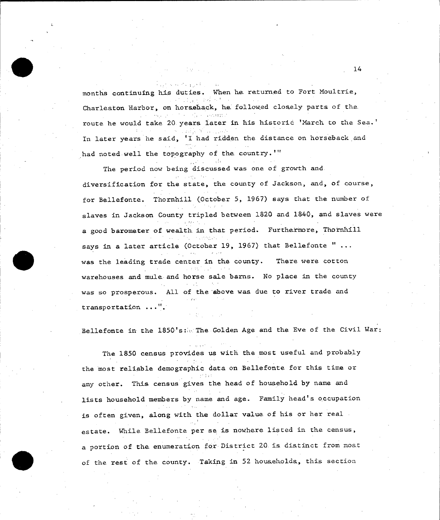医动脉 经可以承兑债 months continuing his duties. When he. returned to Fort Moultrie, Charleston Harbor, on horseback, he followed closely parts of the route he would take 20 years later in his historic 'March to the Sea.' In later years he said, 'I had ridden the distance on horseback and had noted well the topography of the country.'"

The period now being discussed was one of growth and diversification for the state, the county of Jackson, and, of course, for Bellefonte. Thornhill (October **5, 1967)** says that the number of slaves in Jackson County tripled between **1820** and 1840, and slaves were a good barometer of wealth in that period. Furthermore, Thornhill says in a later article (October **19, 1967)** that Bellefonte " ... was the leading trade center in the county. There were cotton warehouses and mule and horse sale barns. No place in the county was so prosperous. **All** of the above was due to river trade and transportation ...".

Bellefonte in the 1850's: The Golden Age and the Eve of the Civil War:

The **1850** census provides us with the most useful and probably the most reliable demographic data on Bellefonte for this time or any other. This census gives the head of household **by** name and lists household members **by** name and age. Family head's occupation is often given, along with the dollar value of his or her real estate. While Bellefonte per se is nowhere listed in the census, a portion of the enumeration for District 20 is distinct from mos.t of the rest of the county. Taking in **52** households, this section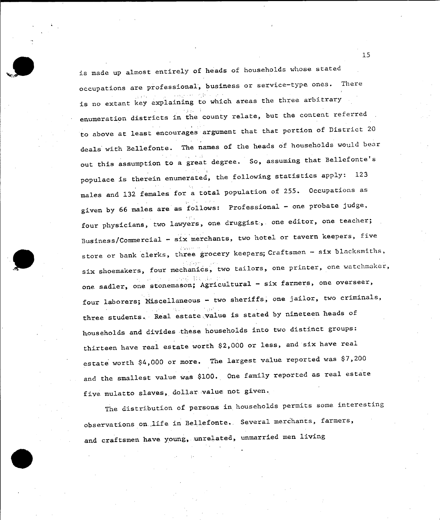is made up almost entirely of heads of households whose stated occupations are professional, business or service-type ones. There is no extant key explaining to which areas the three arbitrary enumeration districts in the county relate, but the content referred to above at least encourages argument that that portion of District 20 deals with Bellefonte. The names of the heads **of** households would bear out this assumption to a great degree. So, assuming that Bellefonte's populace is therein enumerated, the following statistics apply: **<sup>123</sup>** males and **132** females for a total population of **255.** Occupations as given **by 66** males are as follows: Professional **-** one probate judge, four physicians, two lawyers, one druggist;, one editor, one teacher; Business/Commercial **-** six merchants, two hotel or tavern keepers, five store or bank clerks, three grocery keepers; Craftsmen - six blacksmiths, six shoemakers, four mechanics, two tailors, one printer, one watchmaker, one sadler, one stonemason; Agricultural **-** six farmers, one overseer, four laborers; Miscellaneous - two sheriffs, one jailor, two criminals, three students. Real estate value is stated **by** nineteen heads of households and divides these households into two distinct groups: thirteen have real estate worth \$2,000 or less, and six have real estate worth \$4,000 or more. The largest value reported was **\$7,200**  and the smallest value was **\$100..** One family reported as real estate five mulatto slaves, dollar value not given.

The distribution of persons in households permits some interesting observations on life in Bellefonte. Several merchants, farmers, and craftsmen have young, unrelated, unmarried men living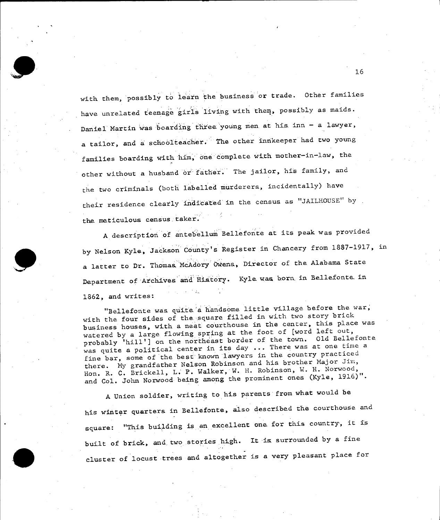with them, possibly to learn the business or trade. Other families have unrelated teenage giris living with them, possibly as maids. Daniel Martin was boarding three young men at his. inn - a lawyer, a tailor, and a schoolteacher. The other innkeeper had two young families boarding with him, one complete with mother-in-law, the other without a husband or father. The jailor, his family, and the two criminals (both labelled murderers, incidentally) have their residence clearly indicated in the census as **"JAILKOUSE" by**  the meticulous census taker.

A description of antebellum Bellefonte at its peak was provided **by** Nelson Kyle, Jackson County's Register in Chancery from **1887-1917,** in a latter to Dr. Thomas McAdory Owens, Director of the Alabama State Department of Archives and History. Kyle was born in Bellefonte in **1862,** and writes:

"Bellefonte was quite a handsome little village before the war, with the four sides of the square filled in with two story brick business houses, with a neat courthouse in the center, this place was watered **by** a large flowing spring at the foot of [word left out, probably 'hill'] on the northeast border of the town. **Old** Bellefonte was quite a political center in its day **...** There was at one time a fine bar, some of the best known lawyers in the country practiced there. **My** grandfather Nelson Robinson and his brother Major Jim, Hon. R. **C.** Brickell, L. P. Walker, W. H. Robinson, W. H. Norwood, and Col. John Norwood being among the prominent ones (Kyle, **1916)".** 

**<sup>A</sup>**Union soldier, writing to his parents from what would be his winter quarters in Bellefonte, also described the courthouse and square: "This building is an excellent one for this country, it is built of brick, and two stories high. It is surrounded **by** a fine cluster of locust trees and altogether is a very pleasant place for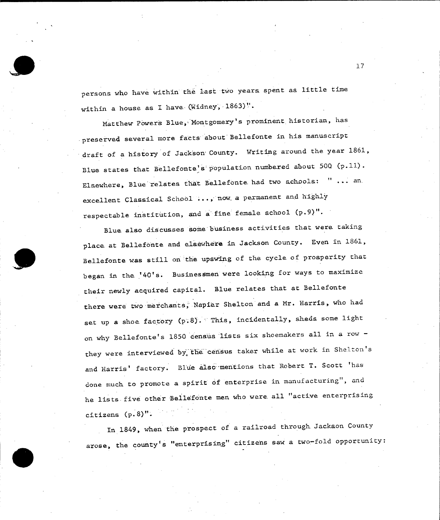persons who have within the last two years spent as little time within a house as **I** have.(Widney, 1863)''.

Matthew Powers Blue, Montgomery's prominent historian, has preserved several more facts about Bellefonte in his manuscript draft of a history of Jackson-County. Writing around the year **1861,**  Blue states that Bellefonte's population numbered about **500 (p.11).**  Elsewhere, Blue relates that Bellefonte had two schools: " ... an. excellent Classical School ... , now a permanent and **highly**  respectable institution, and a fine female school **(p.9)".** 

Blue also discusses some business activities that were taking place at Bellefonte and elsewhere in Jackson County. Even in **1861,**  Bellefonte was still on the upswing of the cycle of prosperity that began in the '40's. Businessmen were looking for ways to maximize their newly acquired capital. Blue relates that at Bellefonte there were two merchants, Napier Shelton and a Mr. Harris, who had set up a shoe factory (p.8). This, incidentally, sheds some light on why Bellefonte's **1850** census 'lists six shoemakers all in a row they were interviewed by the census taker while at work in Shelton's and Harris' factory. Blue also mentions that Robert T. Scott 'has done much to promote a spirit **of** enterprise in manufacturing", and he lists.five other Bellefonte men who were.all "active enterprising citizens **(p.8 )".** 

In 1849, when the prospect of a railroad through Jackson County arose, the county's "enterprising" citizens saw a two-fold opportunity: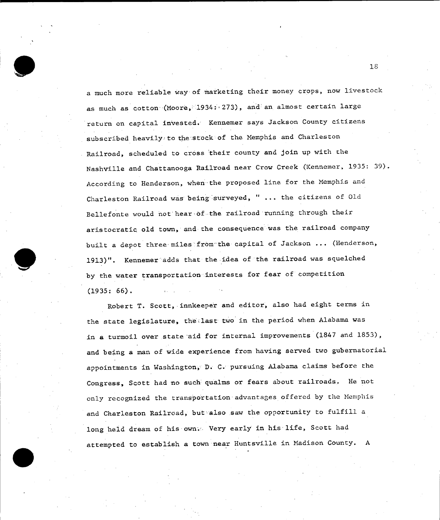a much more reliable way of marketing their money crops, now livestock as much as cotton (Moore, 1934: 273), and an almost certain large return on capital invested. Kennemer says Jackson County citizens subscribed heavily to the stock of the Memphis and Charleston Railroad, scheduled to cross their county and join up with the Nashville and Chattanooga Railroad near Crow Creek (Kennemer, **1935: 39).**  According to Henderson, when the proposed line for the Memphis and Charleston Railroad was being surveyed, " ... the citizens of **Old**  Bellefonte would not hear.of the railroad running through their aristocratic old town, and the consequence was the railroad company built a depot three-miles from the capital of Jackson **...** (Henderson, **1913)".** Kennemer adds that the idea of the railroad was squelched **by** the water transportation interests for fear of competition **(1935: 66).** 

Robert T. Scott, innkeeper and editor, also had eight terms in the state legislature, the last two in the period when Alabama was in a turmoil over state aid for internal improvements **(1847** and **1853),**  and being a man of wide experience from having served two gubernatorial appointments in Washington,, **D. C.** pursuing Alabama claims before the Congress, Scott had no such qualms or fears about railroads. He not only recognized the transportation advantages offered **by** the Memphis and Charleston Railroad, but also saw the opportunity to fulfill a long held dream of his own.. Very early in his life, Scott had attempted to establish a town near Huntsville in Madison County. **A**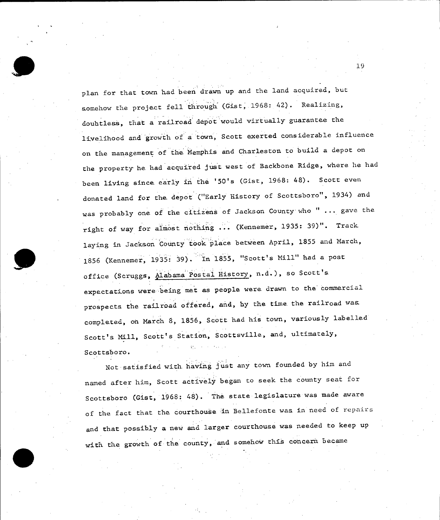plan for that town had been drawn up and the land acquired, but somehow the project fell through (Gist, 1968: 42). Realizing, doubtless, that a railroad depot would virtually guarantee the livelihood and growth of a town, Scott exerted considerable influence on the management of the Memphis and Charleston to build a depot on the property he had acquired just west of Backbone Ridge, where he had been living since early in the '50's (Gist, 1968: 48). Scott even donated land for the depot ("Early History of Scottsboro", 1934) and was probably one of the citizens of Jackson County who " ... gave the right of way for almost nothing . (Kennemer, **1935: 39)".** Track laying in Jackson County took place between April, **1855** and March, **<sup>1856</sup>**(Kennemer, **1935: 39).** In **1855,** "Scott's Mill" had a post office (Scruggs, Alabama Postal History, n,d.), so Scott's expectations were being met as people were drawn to the commercial prospects the railroad offered, and, **by** the time.the railroad was completed, on March **8, 1856,** Scott had his town, variously labelled Scott's Mill, Scott's Station, Scottsville, and, ultimately, Scottsboro.

Not satisfied with-having just any town founded **by** him and named after him, Scott actively began to seek the county seat for Scottsboro (Gist, **1968:** 48). The state legislature was made aware of the fact that the courthouse in Bellefonte was in need of repairs and that possibly a new and larger courthouse was needed to keep up with the growth of the county, and somehow this concern became

**1.9**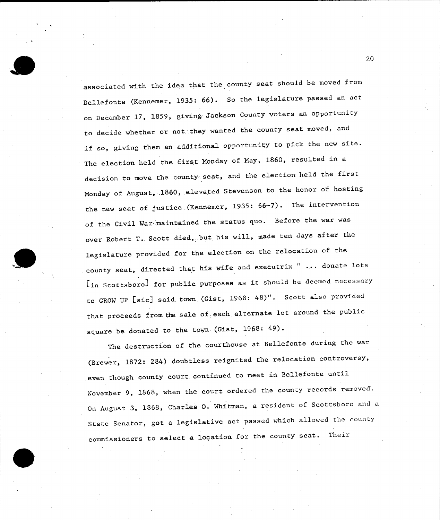associated with the idea that the county seat should be moved from Bellefonte (Kennemer, **1935: 66).** So the legislature passed an act on December **17, 1859,** giving Jackson County voters an opportunity to decide whether or not they wanted the county seat moved, and if so, giving them an additional opportunity to pick the new site. The election held the first: Monday of May, 1860, resulted in a decision to move the county seat, and the election held the first Monday of August, .1860, elevated Stevenson to the honor of hosting the new seat of justice-(Kennemer, **1935: 66-7).** The intervention of the Civil War maintained the status quo. Before the war was over Robert T. Scott died, but his will, made ten days after the legislature provided for the election on the relocation of the county seat, directed that his wife and executrix " ... donate lots [in Scottsboro] for public purposes as it should be deemed necessary to GROW **UP** [sic] said.town (Gist, **1968:** 48)". Scott also provided that proceeds from the sale of each alternate lot around the public square be donated to the town (Gist, **1968:** 49).

The destruction of the courthouse at Bellefonte during the war (Brewer, **1872:** 284) doubtless reignited the relocation controversy, even though county court continued to meet in Bellefonte until November **9, 1868,** when the court ordered the county records removed. On August **3, 1868,** Charles **0.** Whitman, a resident of Scottsboro and a State Senator, got a legislative act passed which allowed the county commissioners to select a location for the county seat. Their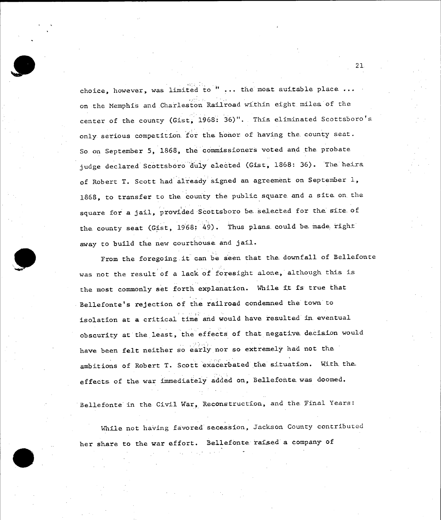choice, however, was limited to " ... the most auitable place **...**  on the Memphis and Charleston Railroad within eight. miles of the center of the county (Gist, **1968: 36)".** This eliminated Scottsboro's only serious competition for the honor of having the county seat. So.on September **5, 1868,** the commissioners voted and the probate judge declared Scottsboro duly elected (Gist, **1868: 36).** The heixa of Robert T. Scott had already signed an agreement on September **1, 1868,** to transfer to the county the public square and a site on the square for a jail, provided Scottsboro be selected for the site of the county seat (Gist, 1968; 49). Thus plans could be made right away to build the new courthouse and jail.

From the foregoing it can be seen that the downfall of Bellefonte was not the result of a lack of foresight alone, although this is the most commonly set forth explanation. While it is true that Bellefonte's rejection of the railroad condemned the town to isolation at a critical time and would have resulted in eventual obscurity at the least, the effects of that negative. decision would have been felt neither so early nor so extremely had not the ambitions of Robert T. Scott exacerbated the situation. With the effects of the war immediately added on, Bellefonte was doomed.

Bellefonte in the Civil War, Reconstruction, and the Final Years:

While not having favored secession, Jackson County contributed her share to the war effort. Bellefonte raised a company of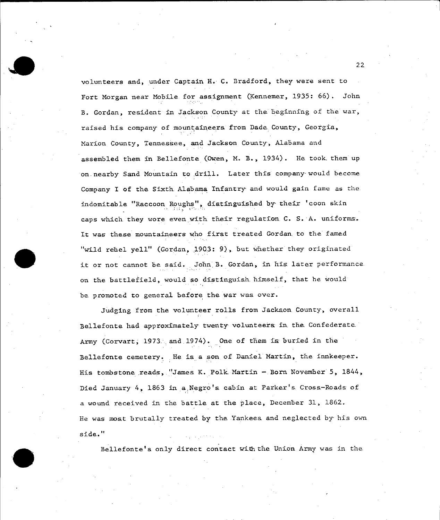volunteers and, under Captain H. **C.** Bradford, they were sent to Fort Morgan near Mobile for assignment (Kennemer, **1935: 66).** John B. Gordan, resident in Jackson County at the beginning of the war, raised his company of mountaineers from Dade County, Georgia, Marion County, Tennessee, and Jackson County, Alabama and assembled them in Bellefonte (Owen, M. B., 1934). He took.them up on nearby Sand Mountain to drill. Later this company would become Company I of the Sixth.Alabama Infantry, and would gain fame as the. indomitable "Raccoon Roughs", distinguished **by,** their 'coon skin caps which they wore even with their regulation C. S. A. uniforms. It was these mountaineers who first treated Gordan.to the famed "wild rehel yell" (Gordan, 1903: 9), but whether they originated it or not cannot be said. John B. Gordan, in his later performance on the battlefield, would so distinguish himself, that he would be promoted to general before the war was over.

Judging from the volunteer rolls from Jackson County, overall Bellefonte had approximately twenty volunteers in the. Confederate. Army (Corvart, 1973. and.1974). One of them is buried in the Bellefonte cemetery. He is a son of Daniel Martin, the innkeeper. His tombstone reads, "James K. Polk Martin - Born November 5, 1844, Died January 4, 1863 in a Negro's cabin at Parker's Cross-Roads of a wound received in the battle at the place, December **31, 1862.**  He was most brutally treated **by** the Yankees and neglected by his own side."

Bellefonte's only direct contact withthe Union Army was in the.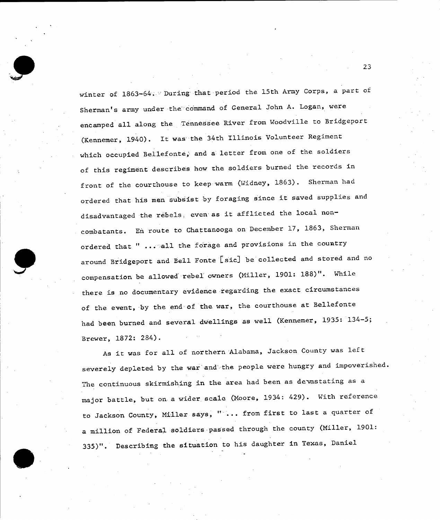winter of 1863-64. During that period the 15th Army Corps, a part of Sherman's army under the command of General John **A.** Logan, were encamped all along the Tennessee River from Woodville to Bridgeport (Kennemer, 1940). It was the 34th Illinois Volunteer Regiment which occupied Bellefonte, and a letter from one of the soldiers of this regiment describes how the soldiers burned the records in front of the courthouse to keep warm (Widney, **1863).** Sherman had ordered that his men subsist **by** foraging since it saved supplies and disadvantaged the rebels. even as it afflicted the local non combatants. En route to Chattanooga on December **17, 1863,** Sherman ordered that " ... all the forage and provisions in the country around Bridgeport and Bell Fonte [sic] be collected and stored and no compensation be allowed rebel owners (Miller, **1901: 188)".** While there is no documentary evidence regarding the exact circumstances of the event, by the end of the war, the courthouse at Bellefonte had been burned and several dwellings as well (Kennemer, **1935:** 134-5; Brewer, **1872:** 284).

As it was for all of northern Alabama, Jackson County was left severely depleted **by** the war'and''the people were hungry and impoverished. The continuous skirmishing in the area had been as devastating as a major battle, but on a wider scale (Moore, 1934: 429). With reference to Jackson County, Miller says, " ... from first to last a quarter of a million of Federal soldiers-passed through the county (Miller, **1901: 335)".** Describing the situation to his daughter in Texas, Daniel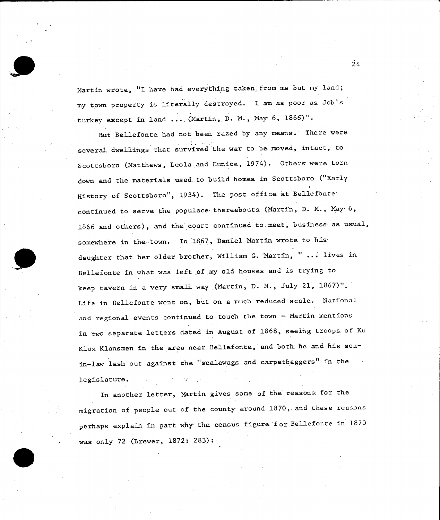Martin wrote, "I have had everything taken from me but my land; my town property is literally destroyed. I am as poor as Job's turkey except in land ... (Martin, D. M., May 6, 1866)".

But Bellefonte had not been razed by.any means. There were several dwellings that survived the war to.ba moved, intact, to Scottsboro (Matthews, Leola and Eunice, 1974). Others were torn down and the materials used to build homes in Scottsboro ("Early History of Scottsboro", 1934). The post office at Bellefonte continued to serve the populace thereabouts (Martin, **D.** M., May-6, **1866** and others), and the court continued to meet, business, as. usual, somewhere in the town. In 1867, Daniel Martin wrote to his: daughter that her older brother, William G. Martin, " ... lives in Bellefonte in what was left of my old houses and is trying to keep tavern in a very small way ,(Martin, **D.** M., July **21, 1867)".**  Life in Bellefonte went on, but on a much reduced scale. National and regional events continued to touch the town **-** Martin mentions in two separate letters .dated in August of **1868,** seeing troops of Ku Klux Klansmen in the area near Bellefonte, and both he and his sonin-law lash out against the "scalawags and carpetbaggers" in the legislature.

In another letter, Martin gives some of the reasons for the migration of people out of the county around **1870,** and these reasons perhaps explain in part **why** the census figure for Bellefonte in **<sup>1870</sup>** was only **72** (Brewer, **1872: .283):**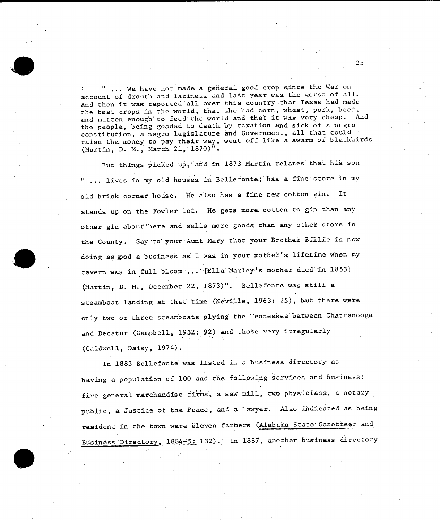" ... We have not made a general good crop since the War on account of drouth and laziness and last year was the worst of all. And then it was reported all over this country that Texas had made the best crops in the world, that she had corn, wheat, pork, beef, and mutton enough to feed the world and that it was very cheap. And the people, being goaded to death by taxation and sick of a negro constitution, a negro legislature and Government, all that could raise the money to pay their way, went off like a swarm of blackbirds (Martin, **D. M.,** March **21, 1870)".** 

But things picked up,' **and** in **1873** Martin relates that his son lives in my old houses in Bellefonte; has a fine store in my old brick corner house. He also has a fine new cotton gin. It stands up on the Fowler lot. He gets more cotton to gin than any other gin about'here and sells more goods than any other store in the County. Say to your Aunt Mary that your Brother Billie is now doing as god a business as I was in your mother's lifetime when my tavern was in full bloom ... Ella' Marley's mother died in **18531**  (Martin, **D. M.,** December 22, **1873)".** Bellefonte was still a steamboat landing at that time (Neville, 1963: 25), but there were only two or three steamboats plying the Tennessee.between Chattanooga and Decatur (Campbell, **1932: 92)** and those very irregularly (Caldwell, Daisy, 1974).

In 1883 Bellefonte was listed in a business directory as having a population of **100** and the following services' and business: five general merchandise firms, a saw mill, two physicians, a notary public, a Justice of the Peace, and a lawyer. Also indicated as. being resident in the town were eleven farmers (Alabama State Gazetteer and Business Directory, 1884-5: **132).** In 1887, another business directory

**25.**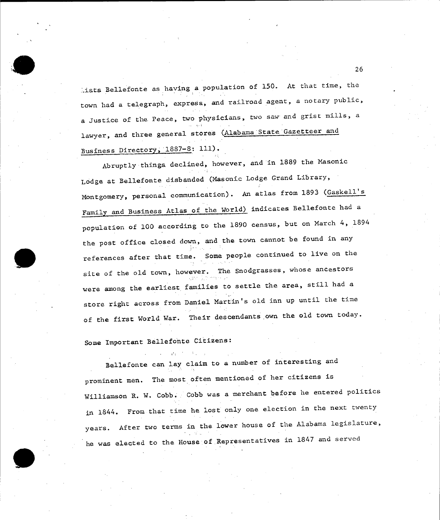.ists Bellefonte as having a population of **150.** At that time, the town had a telegraph, express, and railroad agent, a notary public, a Justice of the. Peace, two physicians, two saw and grist mills, a lawyer, and three general stores (Alabama State Gazetteer and Business Directory, **1887-8: 111).** 

Abruptly things declined, however, and in **<sup>1889</sup>**the Masonic Lodge at Bellefonte disbanded (Masonic Lodge Grand Library, Montgomery, personal communication). An atlas from **1893** (Gaskell's Family and Business Atlas of the World) indicates Bellefonte had a population of **100** according to the **1890** census, but on March 4, 1894 the post office closed down, and the town cannot be found in any references after that time. Some people continued to live on the site of the old town, however. The Snodgrasses, whose ancestors were among the earliest families to settle the area, still had a store right across from Daniel Martin's old inn up until the time of the first World War. Their descendants own the old town today.

## Some Important Bellefonte Citizens:

Bellefonte can lay claim to a number of interesting and prominent men. The most often mentioned of her citizens is Williamson R. W. Cobb. Cobb was a merchant before he entered politics in 1844. From that time he lost only one election in the next twenty years. After two terms in the lower house of the Alabama legislature, he was elected to the House.of Representatives in **1847** and served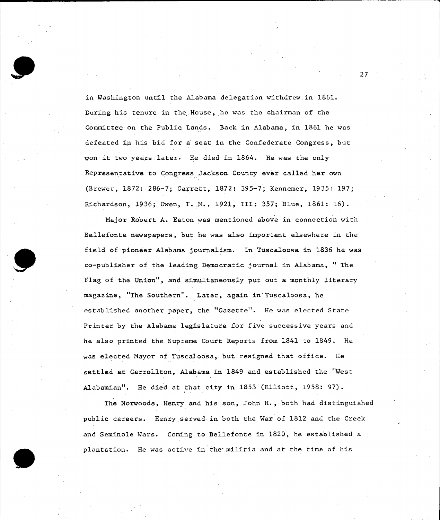in Washington until the Alabama delegation withdrew in **1861.**  During his tenure in the House, he was the chairman of the Committee on the Public Lands. Back in Alabama, in **1861** he was defeated in his bid for a seat in the Confederate Congress, but won it two years later. He died in 1864. He was the only Representative to Congress Jackson County ever called her own (Brewer, **1872: 286-7;** Garrett, **1872: 395-7;** Kennemer, **1935: 197;**  Richardson, **1936;** Owen,,T.iM., **1921,** III: **357;** Blue, **1861: 16).** 

Major Robert A. Eaton was mentioned above in connection with Bellefonte newspapers, but he was also important elsewhere in the field of pioneer Alabama journalism. In Tuscaloosa in **1836** he was co-publisher of the leading Democratic journal in Alabama, **"** The Flag of the Union", and simultaneously put out a monthly literary magazine, "The Southern". Later, again in Tuscaloosa, he established another paper, the "Gazette". He was elected State Printer **by** the Alabama legislature for five successive years and he also printed the Supreme Court Reports from 1841 to 1849. He was elected Mayor of Tuscaloosa, but resigned that office. He settled at Carrollton, Alabama in 1849 and established the "West Alabamian". He died at that city in **1853** (Elliott, **1958: 97).** 

The Norwoods, Henry and his son, John H., both had distinguished public careers. Henry served in both the War of 1812 and the Creek and Seminole Wars. Coming to Bellefonte in **1820,** he established a plantation. He was active in the militia and at the time of his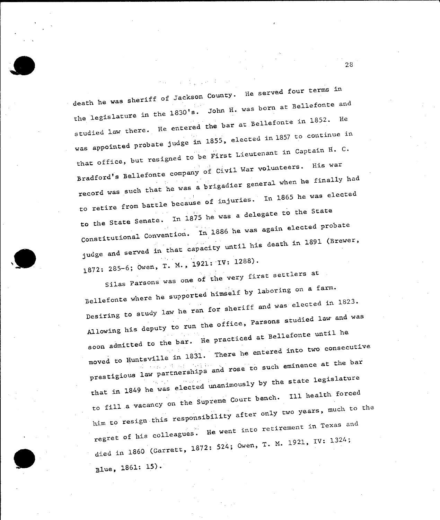death he was sheriff **of** Jackson County. He served four terms in the legislature in the **1830's.** John H. was born at Bellefonte and studied law there. He entered the bar at Bellefonte in **1852.** He was appointed probate judge in 1855, elected in 1857 to continue in that office, but resigned tobe First Lieutenant in Captain H. **C.**  Bradford's Bellefonte company **of** Civil War volunteers. His war record was such that he was a brigadier general when he finally had to retire from battle because of injuries. in **1865** he was elected to the State Senate. In **1875** he was a delegate to the State Constitutional Convention. In **1886** he was again elected probate judge and served in that capacity until his death in **1891** (Brewer, 1872: 285-6; Owen, T. M., 1921: IV: 1288).

 $\sim 10^{11}$  km s  $^{-1}$ 

Silas Parsons was one of the very first settlers at Bellefonte where he supported himself **by** laboring on a farm. Desiring to study law he ran for sheriff and was elected in **1823.**  Allowing his deputy to run the office, Parsons studied law and was soon admitted to the bar. He practiced at Bellefonte until he moved to Huntsville in **1831.** There he entered into two consecutive prestigious law partnerships and rose to such eminence at the bar that in 1849 he was elected unanimously **by** the state legislature to fill .a vacancy on the Supreme Court bench. **Ill** health forced him to resign this responsibility after only **two** years much to the regret of his colleagues. He went into retirement in Texas and died in **1860** (Garrett, **1872** 524; Owen, T. **. 1921,** IV: 1324;

Blue, **1861: 15).**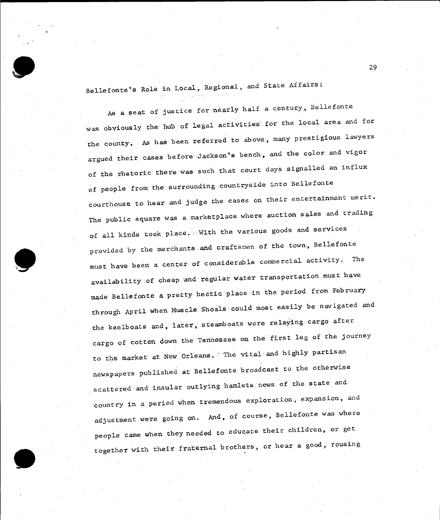

Bellefonte's Role in Local, Regional, and State Affairs:

**As** a seat of justice for nearly half a century, Bellefonte was obviously the **hub** of legal activities'.for the local area and for the county. As has been referred to above, many prestigious lawyers argued their cases before :Jackson's bench, and the color and vigor of the rhetoric there was such that court days signalled an influx of people from the .surrounding countryside into Bellefonte courthouse to hear and judge the cases on their entertainment merit. The public square was a marketplace where auction sales and trading of all kinds took place. With the various goods and services provided **by** the merchants and craftsmen of the town, Bellefonte must have been a center of considerable commercial activity. The availability of cheap and regular water transportation must have made Bellefonte a pretty hectic place in the period from February through April when Muscle Shoals could most easily be navigated and the keelboats and, later, steamboats were relaying cargo after cargo of cotton down the Tennessee on the first leg of the journey to the market at New Orleans. **The** vital and **highly** partisan newspapers published at Bellefonte broadcast **to** the otherwise scattered and insular outlying hamlets news of the state and country in a period when tremendous exploration, expansion, and adjustment were going on. And, of course, Bellefonte was where people came when they needed to educate their children, or get together with their fraternal brothers, or hear a good, rousing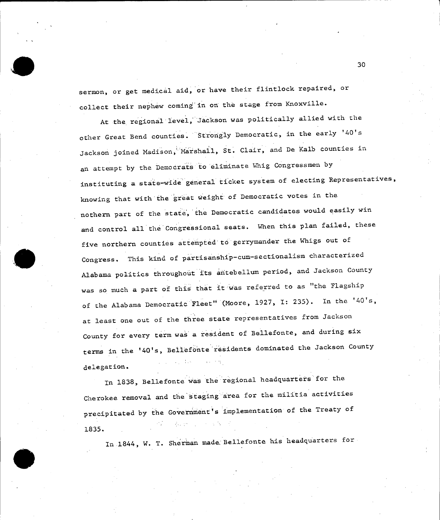sermon, or get medical aid, or have their flintlock repaired, or collect their nephew coming in on the stage from Knoxville.

At the regional level,'Jackson was politically allied with the other Great Bend counties. Strongly Democratic, in the early '40's Jackson joined Madison,' Marshall, St. Clair, and De Kalb counties in an attempt **by** the Democrats to eliminate Whig Congressmen **by**  instituting a state-wide'general ticket system of electing Representatives, knowing that with the great weight of Democratic votes in the nothern part of the state', the Democratic candidates would easily win and control all the Congressional seats. When this plan failed, these five northern counties attempted to gerrymander the Whigs out of Congress. This kind of partisanship-cum-sectionalism characterized Alabama politics throughout its antebellum period, and Jackson County was so much a part of this that it was referred to as "the Flagship of the Alabama Democratic Fleet" (Moore, **1927,** 1: **235).** In the '40's, at least one out of the three state representatives from Jackson County for every term was a resident of Bellefonte, and during six terms in the '40's, Bellefonte residents dominated the Jackson County delegation.

In **1838,** Bellefonte was the regional headquarters for the Cherokee removal and the staging area for the militia activities precipitated **by** the Government's implementation of the Treaty of おせい アールダー **1835.** 

In 1844, W. T. Sherman made.Bellefonte his headquarters for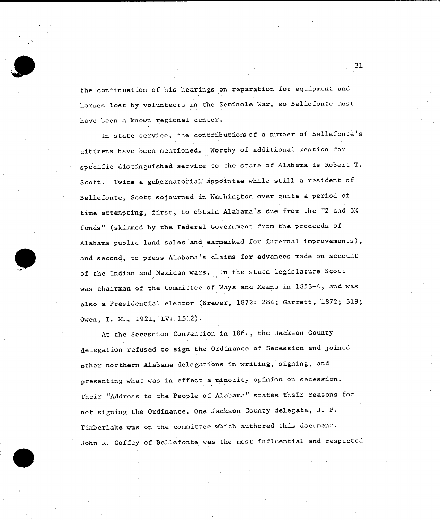

the continuation of his hearings on reparation for equipment and horses lost **by** volunteers in the Seminole War, so Bellefonte must have been a known regional center.

In state service, the contributionsof a number of Bellefonte's citizens have been mentioned. Worthy of additional mention for specific distinguished service to the state of Alabama is Robert T. Scott. Twice a gubernatorial appointee while still a resident of Bellefonte, Scott sojourned in Washington over quite a period of time attempting, first, to obtain Alabama's due from the **"2** and **3%**  funds" (skimmed **by** the Federal Government from the proceeds of Alabama public land sales and earmarked for internal improvements), and second, to press Alabama's claims for advances made on account of the Indian and Mexican wars. In the state legislature Scott was chairman of the Committee of Ways and Means in **1853-4,** and was also a Presidential elector (Brewer, **1872:** 284; Garrett, 1872; **319;**  Owen, T. M., 1921, IV:.1512).

At the Secession Convention in **1861,** the Jackson County delegation refused to sign the Ordinance of Secession and joined other northern Alabama delegations in writing, signing, and presenting what was in effect a minority opinion on secession. Their "Address to the People of Alabama" states their reasons for not signing the Ordinance. One Jackson County delegate, **J.** P. Timberlake was on the committee which authored this document. John R. Coffey of Bellefonte. was the most influential and respected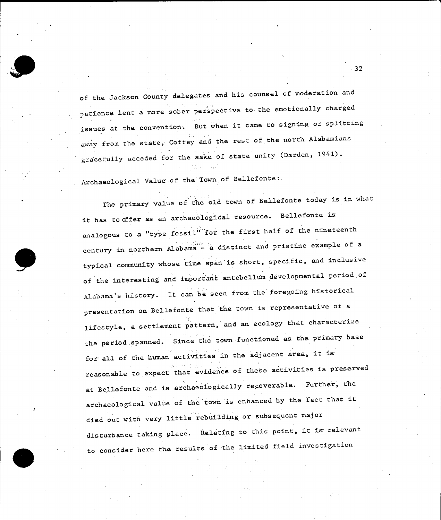

of the Jackson County delegates and his counsel of moderation and patience lent a more sober perspective to the emotionally charged issues at the convention. But when it came to signing or splitting away from the state, Coffey and the rest of the north Alabamians gracefully acceded for the sake of state unity (Darden, 1941).

Archaeological Value of the Town of Bellefonte:

The primary value of the old town of Bellefonte today is in what it has to offer as an archaeological resource. Bellefonte is analogous to a "type fossil" for the first half of the nineteenth century in northern Alabama -'a distinct and pristine example of a typical community whose time span is short, specific, and inclusive of the interesting and important antebellum developmental period.of Alabama's history. -It can be seen from the foregoing historical presentation on Bellefonte that the town is representative of a lifestyle, a settlement pattern, and an ecology that characterize the period.spanned. Since the town functioned as the primary base for all of the human activities in the adjacent area, it is reasonable to expect that evidence of these activities is preserved at Bellefonte and is archaeologically recoverable. Further, the archaeological value of the town is enhanced **by** the fact that it died out with.very little rebuilding or subsequent major disturbance taking place. Relating to this: point, it is relevant to consider here the results of the limited field investigation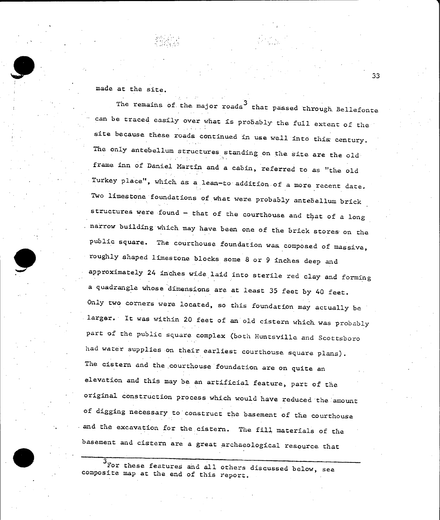made at the site.

The remains of the major roads<sup>3</sup> that passed through Bellefonte can be traced easily over what is probably the full extent of the site because these roads continued in use well into this century. The only antebellum structures standing on the site are the old frame inn of Daniel Martin and a cabin, referred to as "the old Turkey place", which as a lean-to addition of a more recent date. Two limestone foundations of what were probably antebellum brick structures were found  $-$  that of the courthouse and that of a long narrow building which.may have been one of the brick stores on the public square. The courthouse foundation was composed of massive, roughly shaped limestone blocks some **8** or **9** inches deep and approximately 24 inches wide laid into sterile red clay and forming a quadrangle whose dimensions are at least **35** feet **by** 40 feet. Only two corners were located, so this foundation may actually be larger. It was within 20 feet of an old cistern which. was probably part of the public square complex (both Huntsville and Scottsboro had water supplies on their earliest courthouse square plans). The cistern and the courthouse foundation are on quite an elevation and this may be an artificial feature, part of the original construction process which would have reduced the amount of digging necessary to construct the basement of the courthouse and the excavation for the cistern. The **fill** materials of the basement and cistern are a great archaeological resource that

3 For these features and all others discussed below, see<br>composite map at the end of this report.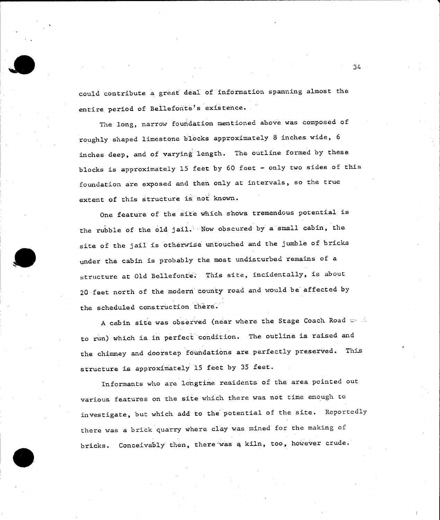could contribute a great deal of information spanning almost the entire period of Bellefonte's existence.

The long, narrow foundation mentioned above was composed of roughly shaped limestone blocks approximately **8** inches wide, **<sup>6</sup>** inches deep, and of varying length. The outline formed **by** these blocks is approximately **15** feet **by 60** feet **-** only two sides of this foundation are exposed and then only at intervals, so the true extent of this structure is not known.

One feature of the site which shows tremendous potential is the rubble of the old jail. Now obscured **by** a small cabin, the site of the **jail** is otherwise untouched and the jumble of bricks under the cabin is probably the most undisturbed remains of a structure at Old Bellefonte. This site, incidentally, is about 20 feet north of the modern 'county road and would be affected **by**  the scheduled construction there.

**A** cabin site was observed (near where the Stage Coach Road to run) which is in perfect condition. The outline is raised and the chimney and doorstep foundations are perfectly preserved. This structure is approximately **15** feet **by 35** feet.

Informants who are longtime residents of the area pointed out various features on the site which there was not time enough to investigate, but which add to the potential of the site. Reportedly there was a brick quarry where clay was mined for the making of bricks. Conceivably then, there was **a** kiln, too, however crude.

 $34 -$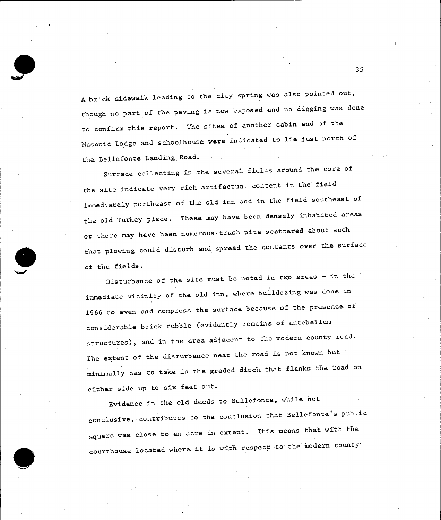**A** brick sidewalk leading **to** the city spring was also pointed out, though no part of the paving is now exposed and no digging was done to confirm this report. The sites of another cabin and of the Masonic Lodge and schoolhouse were indicated to lie just north of the Bellefonte Landing:Road.

Surface collecting in .the several fields around the core of the site indicate very rich artifactual content in the field immediately northeast of the old inn and in the field southeast of the old Turkey place. These may.have been densely inhabited areas or there may have been numerous trash pits scattered about such that plowing could disturb and spread the contents over the surface of the fields.

Disturbance of the site must be noted in two areas **-** in the immediate vicinity of the old-inn, where bulldozing was. done in **1966** to even and compress the surface because of the presence of considerable brick rubble (evidently remains of antebellum structures), and in the area.adjacent to the modern county road. The extent of the disturbance near the road is not known but minimally has to take in the graded ditch that flanks the road on either side up to six feet out.

Evidence in the old deeds to Bellefonte, while not conclusive, contributes to the conclusion that Bellefonte's public square was close to an acre in extent. This means that with the courthouse located where it is with respect to the modern county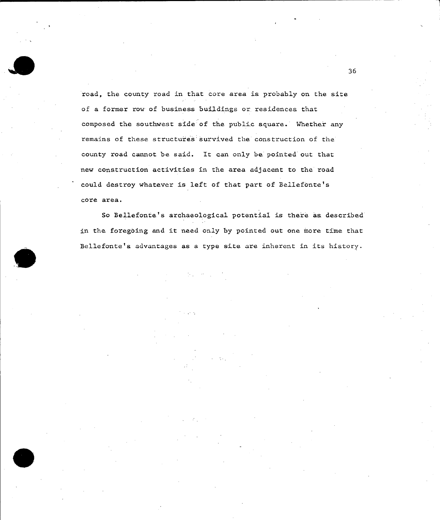road, the county road in that core area is probably on the site of a former row of business buildings or residences that composed the southwest side of the public square. Whether any remains of these structures survived the construction of the county road cannot be said. It can only be pointed out that new construction activities in the area adjacent to the road could destroy whatever is left of that part of Bellefonte's core area.

So Bellefonte's archaeological potential is there as described in the foregoing and it need only **by** pointed out one more time that Bellefonte's advantages as a type site are inherent in its history.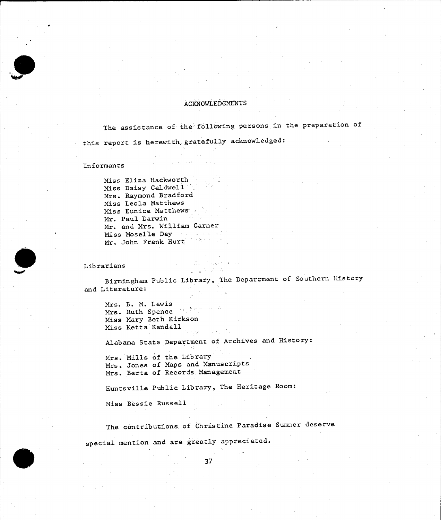#### **AdKNOWLEDGMENTS**

The assistance of the following persons in the preparation of this report is herewith gratefully acknowledged:

#### Informants

Miss Eliza Hackworth Miss Daisy Caldwell Mrs. Raymond Bradford Miss Leola Matthews Miss Eunice Matthews Mr. Paul Darwin Mr. and Mrs. William Garner Miss Moselle Day Mr. John Frank Hurt.

Librarians

#### The Council 一、 是今天 在

Birmingham Public Library, The Department of Southern History and Literature:

Mrs. B. **M.** Lewis Mrs. Ruth Spence Miss Mary Beth Kirkson Miss Ketta Kendall

Alabama State Department of Archives and History:

Mrs. Mills **of** the Library Mrs. Jones of Maps and Manuscripts Mrs. Berta of Records.Management

Huntsville Public Library, The Heritage Room:

Miss Bessie Russell

The contributions of Christine Paradise Sumner deserve special mention and are greatly appreciated.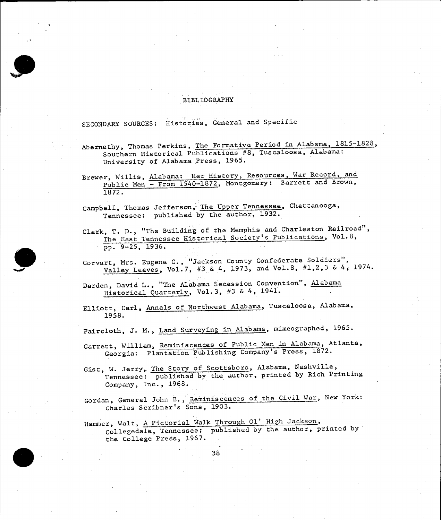#### BIBLIOGRAPHY

**SECONDARY SOURCES:** Histories, General and Specific

Abernethy, Thomas Perkins, The Formative Period in Alabama, **1815-1828,**  Southern Historical Publications #8, Tuscaloosa, Alabama: University of Alabama Press, **1965.** 

Brewer, Willis, Alabama: Her History, Resources, War Record, and Public Men - From **1540-1872,** Montgomery: Barrett and Brown, **1872.** 

Campbell, Thomas Jefferson, The Upper Tennessee, Chattanooga, Tennessee: published **by** the author, **1932.** 

Clark, T. **D.,** "The Building of the Memphis and Charleston Railroad", The East Tennessee Historical Society's Publications, Vol.8, **pp. 9-25, 1936.** 

Corvart, Mrs. Eugene **C.,** "Jackson County Confederate Soldiers", Valley Leaves, Vol.7, **#3 &** 4, **1973,** and Vol.8, **#1,2,3 &** 4, 1974.

Darden, David L., "The Alabama Secession Convention", Alabama Historical Quarterly, Vol.3, **#3 &** 4, 1941.

Elliott, Carl, Annals of Northwest Alabama, Tuscaloosa, Alabama, **1958.** 

Faircloth, **J.** M., Land Surveying in Alabama, mimeographed, **1965.** 

Garrett, William, Reminiscences of Public Men in Alabama, Atlanta, Georgia: Plantation Publishing Company's Press, **1872.** 

Gist, W. Jerry, The Story of Scottsboro, Alabama, Nashville, Tennessee: published **by** the author, printed **by** Rich Printing Company, Inc., **1968.** 

Gordan, General John B., Reminiscences of the Civil War, New York: Charles Scribner's Sons, **1903.** 

Hammer, Walt, **A** Pictorial Walk Through **01'** High Jackson, Collegedale, Tennessee: published **by** the author, printed **by**  the College Press, **1967.**

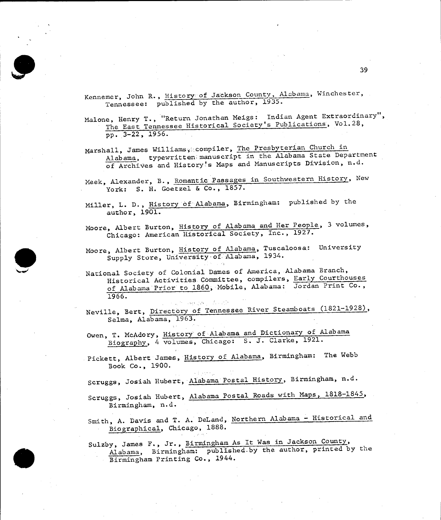Kennemer, John R. **,** History **of** Jackson County, Alabama, Winchester, Tennessee: published **by** the author, **1935.** 

Malone, Henry T., "Return Jonathan Meigs: Indian Agent Extraordinary", The East Tennessee Historical Society's Publications, Vol.28, **pp. 3-22, 1956.** 

Marshall, James Williams, .compiler, The Presbyterian Church in Alabama, typewritten manuscript in the Alabama State Department of Archives and History's Maps and Manuscripts Division, n.d.

Meek, Alexander, B., Romantic Passages in Southwestern History, New York: **S.** H. Goetzel **&** Co., **1857.** 

- Miller, L. **D.,** History **of** Alabama, Birmingham: published **by** the author, **1901.**
- Moore, Albert Burton, History of Alabama and Her People, **3** volumes, Chicago: American Historical Society, Inc., **1927.**
- Moore, Albert Burton, History of Alabama, Tuscaloosa: University Supply Store, University of Alabama, 1934.
- National Society of Colonial Dames of America, Alabama Branch, Historical Activities Committee, compilers, Early Courthouses of Alabama Prior to **1860,** Mobile, Alabama: Jordan Print Co., **1966.**

Neville, Bert, Directory of Tennessee River Steamboats **(1821-1928),**  Selma, Alabama, **1963.** 

Owen, T. McAdory, History of Alabama and Dictionary of Alabama Biography, 4 volumes, Chicago: **S. J.** Clarke, **1921.** 

Pickett, Albert James, History of Alabama, Birmingham: The Webb Book Co., **1900.** 

Scruggs, Josiah Hubert, Alabama Postal History, Birmingham, n.d.

Scruggs, Josiah Hubert, Alabama Postal Roads with Maps, **1818-1845,**  Birmingham, n.d.

Smith, **A.** Davis and T. **A.** DeLand, Northern Alabama **-** Historical and Biographical, Chicago, **1888.** 

Sulzby, James F., Jr., Birmingham As It Was in Jackson County, Alabama, Birmingham: published-by the author, printed **by** the Birmingham Printing Co., 1944.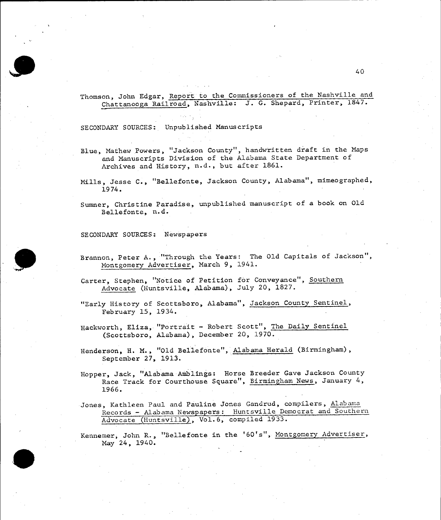

### Thomson, John Edgar, Report to the Commissioners of the Nashville and Chattanooga Railroad, Nashville: **J. G.** Shepard, Printer, **1847.**

**SECONDARY SOURCES:** Unpublished Manuscripts

- Blue, Mathew Powers, "Jackson County", handwritten draft in the Maps and Manuscripts Division of the Alabama State Department of Archives and History, n.d., but after **1861.**
- Mills, Jesse **C.,** "Bellefonte, Jackson County, Alabama", mimeographed, 1974.

Sumner, Christine Paradise, unpublished manuscript of a book on **Old**  Bellefonte, n.d.

**SECONDARY SOURCES:** Newspapers

Brannon, Peter **A.,** "Through the Years: The **Old** Capitals of Jackson", Montgomery Advertiser, March **9,** 1941.

Carter, Stephen, "Notice of Petition for Conveyance", Southern Advocate (Huntsville, Alabama), July 20, **1827.** 

"Early History of Scottsboro, Alabama", Jackson County Sentinel, February **15,** 1934.

Hackworth, Eliza, "Portrait **-** Robert Scott", The Daily Sentinel (Scottsboro, Alabama), December 20, **1970.** 

Henderson, H. M., **"Old** Bellefonte", Alabama Herald (Birmingham), September **27, 1913.** 

Hopper, Jack, "Alabama Amblings: Horse Breeder Gave Jackson County Race Track for Courthouse Square", Birmingham News, January 4, **1966.** 

Jones, Kathleen Paul and Pauline Jones Gandrud, compilers, Alabama Records **-** Alabama Newspapers: Huntsville Democrat and Southern Advocate (Huntsville), Vol.6, compiled **1933.** 

Kennemer, John R., "Bellefonte in the '60's", Montgomery Advertiser, May 24, 1940.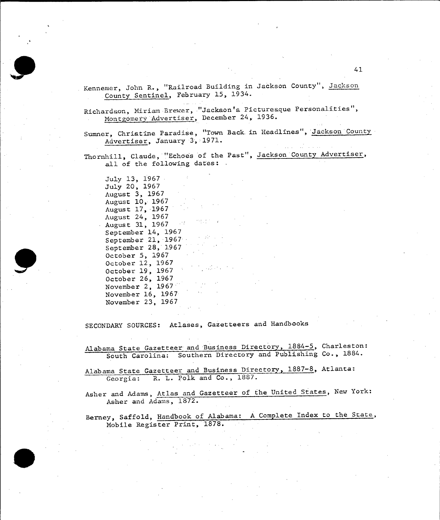Kennemer, John R., "Railroad Building in Jackson County", Jackson County Sentinel, February **15,** 1934.

Richardson, Miriam Brewer, "Jackson's Picturesque Personalities", Montgomery Advertiser, December 24, **1936.** 

Sumner, Christine Paradise, "Town Back. in Headlines", Jackson County Advertiser, January **3,:1971.** 

Thornhill, Claude, "Echoes of the Past", Jackson County Advertiser, all of the following dates: .

July **13, 1967**  July 20, **1967**  August **3, 1967**  August **10, 1967**  August **17,.1967**  August 24, **1967**  Augus.t **31, 1967**  September 14, **1967**   $\mathcal{A}=\{x_1,\ldots,x_n\}$  ,  $\mathcal{A}=\{x_1,\ldots,x_n\}$ September 21, **1967**  September **28, 1967**  October **5, 1967**  October 12, **1967**  October **19, 1967**  October **26, 1967**  November 2, **1967**  November **16, 1967**  November **23, 1967** 

**SECONDARY SOURCES:** Atlases, Gazetteers and Handbooks

Alabama State Gazetteer and Business Directory, 1884-5, Charleston: South Carolina: Southern Directory and Publishing Co., **1884.** 

Alabama State Gazetteer and Business Directory, **1887-8,** Atlanta: Georgia: R. L. Polk and Co., **1887.** 

Asher and Adams, Atlas and Gazetteer of the United States, New York: Asher and Adams, **1872.** 

Berney, Saffold, Handbook of Alabama: **A** Complete Index to the State, Mobile Register Print, **1878.**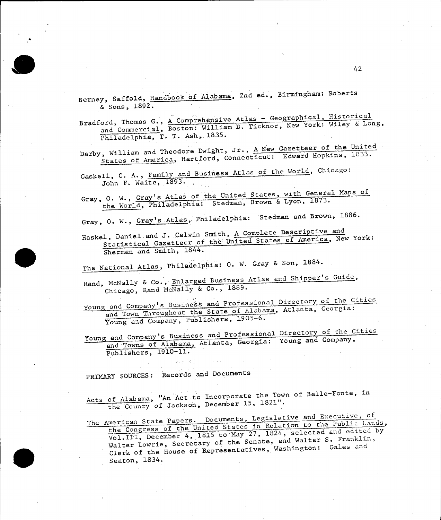Berney, Saffold, Handbook of Alabama, 2nd ed., Birmingham: Roberts **&** Sons, **1892.** 

Bradford, Thomas G., A Comprehensive Atlas - Geographical, Historical and Commercial, Boston: William **D.** Ticknor, New York: Wiley **&** Long, Philadelphia, T. T. Ash, 1835.

Darby, William and Theodore Dwight, Jr., **<sup>A</sup>New** Gazetteer of the United States of America, Hartford, Connecticut: Edward Hopkins, **1833.** 

Gaskell, **C. A.,** Family and Business Atlas of the World, Chicago: John F. Waite, **1893.** 

Gray, **0.** W., Gray's Atlas of the United States, with General Maps of the World, Philadelphia: Stedman, Brown & Lyon, 1873.

Gray, **0. W.,** Gray's Atlas, Philadelphia: Stedman and Brown, **1886.** 

Haskel, Daniel.and J.,Calvin Smith, **A** Complete Descriptive and Statistical Gazetteer of the United States of America, New York: Sherman and Smith, 1844.

The National Atlas, Philadelphia: **0.** W. Gray **&** Son, **1884.** 

Rand, McNally **&** Co., Enlarged Business Atlas and Shipper's Guide, Chicago, Rand McNally **&** Co., **1889.** 

young and Company's.Business and Professional Directory **of** the Cities and Town Throughout the State of Alabama, Atlanta, Georgia: Young and Company, Publishers, **1905-6.** 

Young and Company's Business and Professional Directory of the Cities and Towns of Alabama, Atlanta, Georgia: Young and Company, Publishers, **1910-11.** 

PRIMARY **SOURCES:** Records and Documents

Acts of Alabama, "An Act to Incorporate the Town of Belle-Fonte, in the County of Jackson, December **15, 1821".** 

The American State Papers. Documents, Legislative and Executive, of the Congress of the United States in Relation **to** the Public Lands, Vol. III, December 4, 1815 to May 27, 1824, selected and edited by Walter Lowrie, Secretary of the Senate, and Walter **S.** Franklin, Clerk of the House of Representatives, Washington: Gales and Seaton, 1834.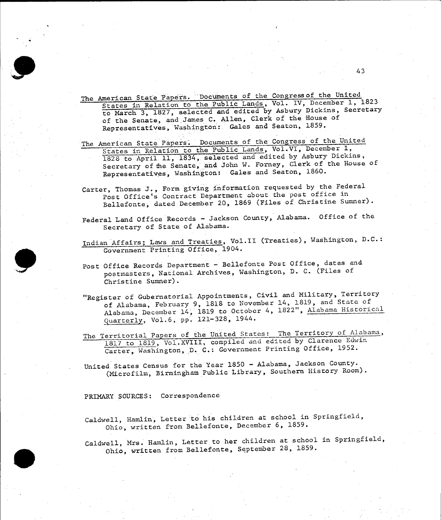

- The American State Papers. Documents **of** the Congressof the United States in Relation to the Public Lands, Vol. IV, December **1, 1823**  to March **3, 1827,** selected and edited **by** Asbury Dickins, Secretary of the Senate, and James **C.** Allen, Clerk of the House of Representatives, Washington: Gales and Seaton, **1859.**
- The American State Papers. Documents of the Congress of the United States in Relation to the Public Lands, Vol.VI, December **1, <sup>1828</sup>**to April **11,** 1834, selected and edited **by** Asbury Dickins, Secretary of the Senate, and John W. Forney, Clerk of the House of Representatives, Washington: Gales and Seaton, **1860.**
- Carter, Thomas **J.,** Form giving information requested **by** the Federal Post Office's Contract Department about the post office in Bellefonte, dated December 20, **1869** (Files of Christine Sumner).
- Federal Land Office Records **-** Jackson County, Alabama. Office of the Secretary of State of Alabama.
- Indian Affairs; Laws and Treaties, Vol.II (Treaties), Washington, **D.C.:**  Government Printing Office, 1904.
- Post Office Records Department Bellefonte Post Office, dates and postmasters, National Archives, Washington, **D. C.** (Files of Christine Sumner).
- "Register of Gubernatorial Appointments, Civil and Military, Territory of Alabama, February **9, 1818** to November 14, **1819,** and State of Alabama, December 14, **1819** to October 4, **1822",** Alabama Historical Quarterly, Vol.6, pp. 121-328, 1944.
- The Territorial Papers of the United States: The Territory of Alabama, **<sup>1817</sup>**to **1819,** Vol.XVIII, compiled and edited **by** Clarence Edwin Carter, Washington, D. **C.:** Government Printing Office, **1952.**

United States Census for the Year **1850 -** Alabama, Jackson County. (Microfilm, Birmingham Public Library, Southern History Room).

PRIMARY **SOURCES:** Correspondence

Caldwell, Hamlin, Letter to his children at school in Springfield, Ohio, written from Bellefonte, December **6, 1859.** 

Caldwell, Mrs. Hamlin, Letter to her children at school in Springfield, Ohio, written from Bellefonte, September **28, 1859.**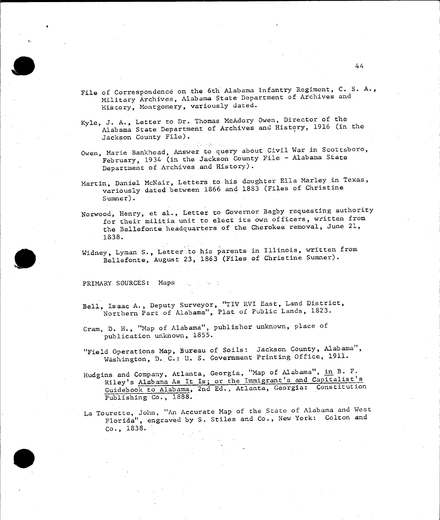

- File of Correspondence on the 6th Alabama Infantry Regiment, **C. S. A.,**  Military Archives, Alabama State Department of Archives and History, Montgomery, variously dated.
- Kyle, **J. A.,** Letter to Dr. Thomas McAdory Owen, Director of the Alabama State Department of Archives and History, **<sup>1916</sup>**(in the Jackson County File).

**Administration** 

- Owen, Marie Bankhead, Answer to query about Civil War in Scottsboro, February, 1934 (in the Jackson County File **-** Alabama State Department of Archives and History).
- Martin, Daniel McNair, Letters to his daughter Ella Marley in Texas, variously dated between **1866** and **1883** (Files of Christine Sumner).
- Norwood, Henry, et al., Letter to Governor Bagby requesting authority for their militia unit to elect its own officers, written from the Bellefonte headquarters of the Cherokee removal, June 21, **1838.**
- Widney, Lyman **S.,** Letter to his parents in Illinois, written from Bellefonte, August **23, 1863** (Files of Christine Sumner).

PRIMARY **SOURCES:** Maps

- Bell, Isaac **A.,** Deputy Surveyor, "TIV RVI East, Land District, Northern Part of Alabama", Plat of Public Lands, **1823.**
- Cram, **D.** H., "Map of Alabama", publisher unknown, place of publication unknown, **1855.**
- "Field Operations Map, Bureau of Soils: Jackson County, Alabama Washington, **D..C.: U. S.** Government Printing Office, **1911.**
- Hudgins and Company, Atlanta, Georgia, "Map of Alabama", in B. F. Riley's Alabama As It Is; or the Immigrant's and Capitalist's Guidebook to Alabama, 2nd **Ed.,** Atlanta, Georgia: Constitution Publishing Co., **1888.**
- La Tourette, John, "An Accurate Map of the State of Alabama and West Florida", engraved **by S.** Stiles and Co., New York: Colton and Co., **1838.**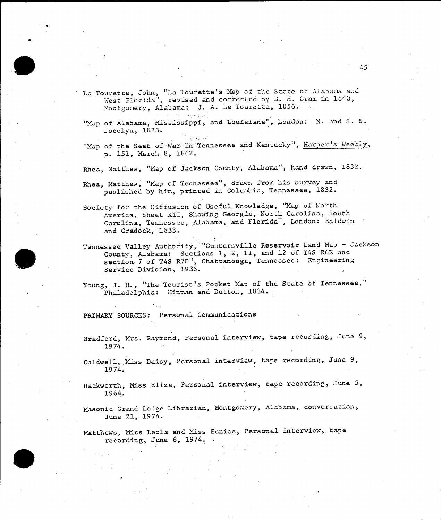La Tourette, John, "La Tourette's Map of the State of Alabama and West Florida", revised and corrected **by D.** H. Cram in 1840, Montgomery, Alabama: **J. A.** La Touretta, **1856.** 

45

"Map of Alabama, Mississippi, and Louisiana", London: **N.** and **S. S.**  Jocelyn, **1823.** 

"Map of the Seat of War in Tennessee and Kentucky", Harper's Weekly, **p. 151,** March **8, 1862.** 

**Rhea,** Matthew, "Map of Jackson County, Alabama", hand drawn, **1832.** 

Rhea, Matthew, "Map of Tennessee", drawn from his survey and published **by** him, printed in Columbia, Tennessee, **1832.** 

Society for the Diffusion of Useful Knowledge, "Map of North America, Sheet XII, Showing Georgia, North Carolina, South Carolina, Tennessee, Alabama, and Florida", London: Baldwin and Cradock, 1833.

Tennessee Valley Authority, "Guntersville Reservoir Land Map **-** Jackson County, Alabama: Sections **1,** 2, **11,** and 12 of T4S R6E and section 7 of T4S R7E", Chattanooga, Tennessee: Engineering Service Division, **1936.** 

Young, J. H., "The Tourist's Pocket Map of the State of Tennessee," Philadelphia: Hinman and Dutton, 1834.

PRIMARY **SOURCES:** Personal Communications

Bradford, Mrs. Raymond, Personal interview, tape recording, June **9,**  1974.

Caldwell, Miss Daisy, Personal interview, tape recording, June **9,**  1974.

Hackworth, Miss Eliza, Personal interview, tape recording, June **5,**  1964.

Masonic Grand Lodge Librarian, Montgomery, Alabama, conversation, June 21, 1974.

Matthews, Miss Leola and Miss Eunice, Personal interview, tape recording, June **6,** 1974.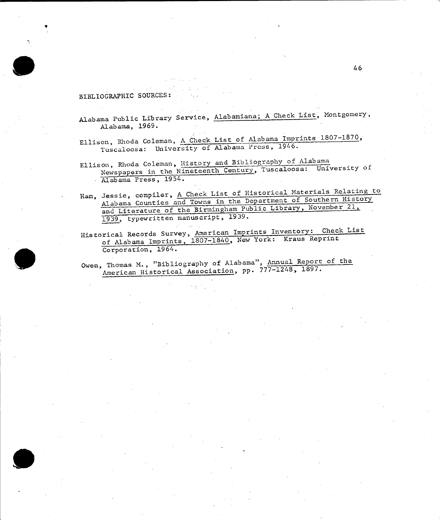#### BIBLIOGRAPHIC **SOURCES:**

Alabama Public Library Service, Alabamiana; **A** Check List, Montgomery, Alabama, **1969.** 

Ellison, Rhoda Coleman, **A** Check List of Alabama Imprints **1807-1870,**  Tuscaloosa: University of Alabama Press, 1946.

- Ellison, Rhoda Coleman, History and Bibliography of Alabama Newspapers in the Nineteenth Century, Tuscaloosa: University of Alabama Press, 1954.
- Ham, Jessie, compiler, **A** Check List of Historical Materials Relating **to**  Alabama Counties and Towns in the Department of Southern History and Literature of the Birmingham Public Library, November 21, 1939, typewritten manuscript, **1939.**

Historical Records Survey, American Imprints Inventory: Check List of Alabama Imprints, **1807-1840,** New York: Kraus Reprint Corporation, 1964.

Owen, Thomas **M.,** "Bibliography of Alabama", Annual Report of the American Historical Association, **pp. 777-1248, 1897.**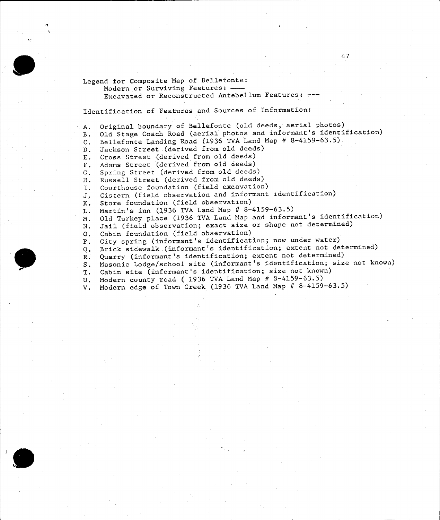Legend for Composite Map of Bellefonte:

Modern or Surviving Features: Excavated or Reconstructed Antebellum Features:

Identification of Features and Sources of Information:

**A.** Original boundary of Bellefonte (old deeds, aerial photos) B. **Old** Stage Coach Road (aerial photos and informant's identification) **C.** Bellefonte Landing Road **(1936** TVA Land Map **# 8-4159-63.5) D.** Jackson Street (derived from old deeds) **E.** Gross Street (derived from old deeds) F. Adams Street (derived from old deeds) **G.** Spring Street (derived from old deeds) H. Russell Street (derived from old deeds) I. Courthouse foundation (field excavation) **J.** Cistern (field observation and informant identification) K. Store foundation (field observation) L. Martin's inn **(1936** TVA Land Map **# 8-4159-63.5)**  M. **Old** Turkey place **(1936** TVA Land Map and informant's identification) **N.** Jail (field observation; exact size or shape not determined) **0.** Cabin foundation (field observation) P. City spring (informant's identification; now under water) **Q.** Brick sidewalk (informant's identification; extent not determined) R. Quarry (informant's identification; extent not determined) **S.** Masonic Lodge/school site (informant's identification; size not known) T. Cabin site (informant's identification; size not known) **U.** Modern county road **( 1936** TVA Land Map **# 8-4159-63.5)**  V. Modern edge of Town Creek **(1936** TVA Land Map **# 8-4159-63.5)**



47

**-7**